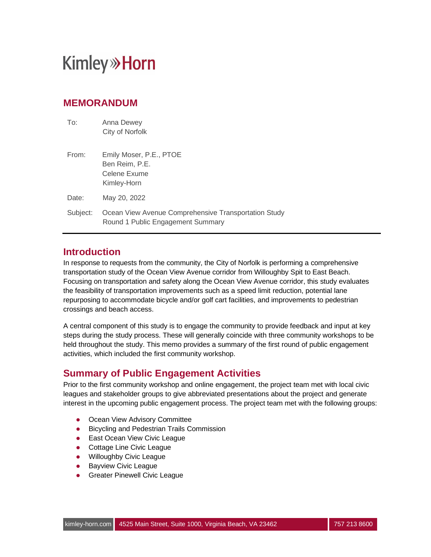### **MEMORANDUM**

| To:      | Anna Dewey<br>City of Norfolk                                                             |
|----------|-------------------------------------------------------------------------------------------|
| From:    | Emily Moser, P.E., PTOE<br>Ben Reim, P.E.<br>Celene Exume<br>Kimley-Horn                  |
| Date:    | May 20, 2022                                                                              |
| Subject: | Ocean View Avenue Comprehensive Transportation Study<br>Round 1 Public Engagement Summary |

### **Introduction**

In response to requests from the community, the City of Norfolk is performing a comprehensive transportation study of the Ocean View Avenue corridor from Willoughby Spit to East Beach. Focusing on transportation and safety along the Ocean View Avenue corridor, this study evaluates the feasibility of transportation improvements such as a speed limit reduction, potential lane repurposing to accommodate bicycle and/or golf cart facilities, and improvements to pedestrian crossings and beach access.

A central component of this study is to engage the community to provide feedback and input at key steps during the study process. These will generally coincide with three community workshops to be held throughout the study. This memo provides a summary of the first round of public engagement activities, which included the first community workshop.

### **Summary of Public Engagement Activities**

Prior to the first community workshop and online engagement, the project team met with local civic leagues and stakeholder groups to give abbreviated presentations about the project and generate interest in the upcoming public engagement process. The project team met with the following groups:

- Ocean View Advisory Committee
- **•** Bicycling and Pedestrian Trails Commission
- East Ocean View Civic League
- Cottage Line Civic League
- **.** Willoughby Civic League
- Bayview Civic League
- **•** Greater Pinewell Civic League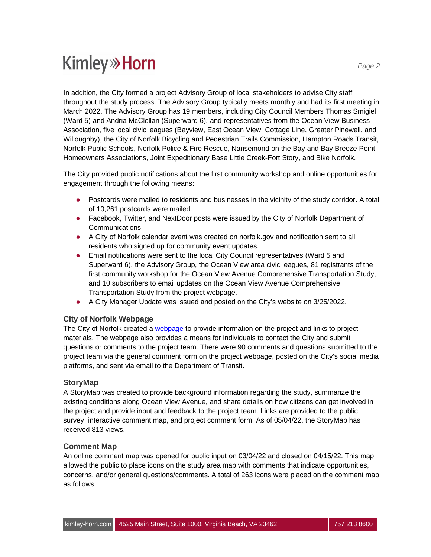In addition, the City formed a project Advisory Group of local stakeholders to advise City staff throughout the study process. The Advisory Group typically meets monthly and had its first meeting in March 2022. The Advisory Group has 19 members, including City Council Members Thomas Smigiel (Ward 5) and Andria McClellan (Superward 6), and representatives from the Ocean View Business Association, five local civic leagues (Bayview, East Ocean View, Cottage Line, Greater Pinewell, and Willoughby), the City of Norfolk Bicycling and Pedestrian Trails Commission, Hampton Roads Transit, Norfolk Public Schools, Norfolk Police & Fire Rescue, Nansemond on the Bay and Bay Breeze Point Homeowners Associations, Joint Expeditionary Base Little Creek-Fort Story, and Bike Norfolk.

The City provided public notifications about the first community workshop and online opportunities for engagement through the following means:

- Postcards were mailed to residents and businesses in the vicinity of the study corridor. A total of 10,261 postcards were mailed.
- Facebook, Twitter, and NextDoor posts were issued by the City of Norfolk Department of Communications.
- A City of Norfolk calendar event was created on norfolk.gov and notification sent to all residents who signed up for community event updates.
- Email notifications were sent to the local City Council representatives (Ward 5 and Superward 6), the Advisory Group, the Ocean View area civic leagues, 81 registrants of the first community workshop for the Ocean View Avenue Comprehensive Transportation Study, and 10 subscribers to email updates on the Ocean View Avenue Comprehensive Transportation Study from the project webpage.
- A City Manager Update was issued and posted on the City's website on 3/25/2022.

#### **City of Norfolk Webpage**

The City of Norfolk created a webpage to provide information on the project and links to project materials. The webpage also provides a means for individuals to contact the City and submit questions or comments to the project team. There were 90 comments and questions submitted to the project team via the general comment form on the project webpage, posted on the City's social media platforms, and sent via email to the Department of Transit.

#### **StoryMap**

A StoryMap was created to provide background information regarding the study, summarize the existing conditions along Ocean View Avenue, and share details on how citizens can get involved in the project and provide input and feedback to the project team. Links are provided to the public survey, interactive comment map, and project comment form. As of 05/04/22, the StoryMap has received 813 views.

#### **Comment Map**

An online comment map was opened for public input on 03/04/22 and closed on 04/15/22. This map allowed the public to place icons on the study area map with comments that indicate opportunities, concerns, and/or general questions/comments. A total of 263 icons were placed on the comment map as follows: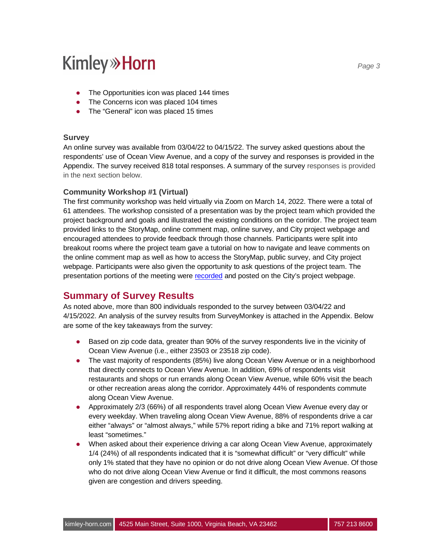- The Opportunities icon was placed 144 times
- The Concerns icon was placed 104 times
- The "General" icon was placed 15 times

#### **Survey**

An online survey was available from 03/04/22 to 04/15/22. The survey asked questions about the respondents' use of Ocean View Avenue, and a copy of the survey and responses is provided in the Appendix. The survey received 818 total responses. A summary of the survey responses is provided in the next section below.

#### **Community Workshop #1 (Virtual)**

The first community workshop was held virtually via Zoom on March 14, 2022. There were a total of 61 attendees. The workshop consisted of a presentation was by the project team which provided the project background and goals and illustrated the existing conditions on the corridor. The project team provided links to the StoryMap, online comment map, online survey, and City project webpage and encouraged attendees to provide feedback through those channels. Participants were split into breakout rooms where the project team gave a tutorial on how to navigate and leave comments on the online comment map as well as how to access the StoryMap, public survey, and City project webpage. Participants were also given the opportunity to ask questions of the project team. The presentation portions of the meeting were recorded and posted on the City's project webpage.

#### **Summary of Survey Results**

As noted above, more than 800 individuals responded to the survey between 03/04/22 and 4/15/2022. An analysis of the survey results from SurveyMonkey is attached in the Appendix. Below are some of the key takeaways from the survey:

- Based on zip code data, greater than 90% of the survey respondents live in the vicinity of Ocean View Avenue (i.e., either 23503 or 23518 zip code).
- The vast majority of respondents (85%) live along Ocean View Avenue or in a neighborhood that directly connects to Ocean View Avenue. In addition, 69% of respondents visit restaurants and shops or run errands along Ocean View Avenue, while 60% visit the beach or other recreation areas along the corridor. Approximately 44% of respondents commute along Ocean View Avenue.
- Approximately 2/3 (66%) of all respondents travel along Ocean View Avenue every day or every weekday. When traveling along Ocean View Avenue, 88% of respondents drive a car either "always" or "almost always," while 57% report riding a bike and 71% report walking at least "sometimes."
- When asked about their experience driving a car along Ocean View Avenue, approximately 1/4 (24%) of all respondents indicated that it is "somewhat difficult" or "very difficult" while only 1% stated that they have no opinion or do not drive along Ocean View Avenue. Of those who do not drive along Ocean View Avenue or find it difficult, the most commons reasons given are congestion and drivers speeding.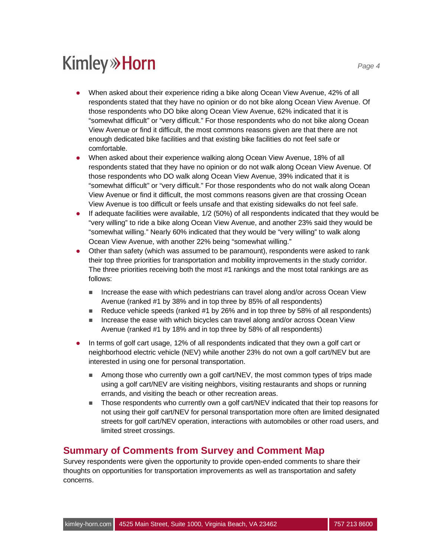- When asked about their experience riding a bike along Ocean View Avenue, 42% of all respondents stated that they have no opinion or do not bike along Ocean View Avenue. Of those respondents who DO bike along Ocean View Avenue, 62% indicated that it is "somewhat difficult" or "very difficult." For those respondents who do not bike along Ocean View Avenue or find it difficult, the most commons reasons given are that there are not enough dedicated bike facilities and that existing bike facilities do not feel safe or comfortable.
- l When asked about their experience walking along Ocean View Avenue, 18% of all respondents stated that they have no opinion or do not walk along Ocean View Avenue. Of those respondents who DO walk along Ocean View Avenue, 39% indicated that it is "somewhat difficult" or "very difficult." For those respondents who do not walk along Ocean View Avenue or find it difficult, the most commons reasons given are that crossing Ocean View Avenue is too difficult or feels unsafe and that existing sidewalks do not feel safe.
- **If adequate facilities were available,**  $1/2$  **(50%) of all respondents indicated that they would be** "very willing" to ride a bike along Ocean View Avenue, and another 23% said they would be "somewhat willing." Nearly 60% indicated that they would be "very willing" to walk along Ocean View Avenue, with another 22% being "somewhat willing."
- Other than safety (which was assumed to be paramount), respondents were asked to rank their top three priorities for transportation and mobility improvements in the study corridor. The three priorities receiving both the most #1 rankings and the most total rankings are as follows:
	- $\blacksquare$  Increase the ease with which pedestrians can travel along and/or across Ocean View Avenue (ranked #1 by 38% and in top three by 85% of all respondents)
	- Reduce vehicle speeds (ranked  $#1$  by 26% and in top three by 58% of all respondents)
	- Increase the ease with which bicycles can travel along and/or across Ocean View Avenue (ranked #1 by 18% and in top three by 58% of all respondents)
- In terms of golf cart usage, 12% of all respondents indicated that they own a golf cart or neighborhood electric vehicle (NEV) while another 23% do not own a golf cart/NEV but are interested in using one for personal transportation.
	- $\blacksquare$  Among those who currently own a golf cart/NEV, the most common types of trips made using a golf cart/NEV are visiting neighbors, visiting restaurants and shops or running errands, and visiting the beach or other recreation areas.
	- Those respondents who currently own a golf cart/NEV indicated that their top reasons for not using their golf cart/NEV for personal transportation more often are limited designated streets for golf cart/NEV operation, interactions with automobiles or other road users, and limited street crossings.

### **Summary of Comments from Survey and Comment Map**

Survey respondents were given the opportunity to provide open-ended comments to share their thoughts on opportunities for transportation improvements as well as transportation and safety concerns.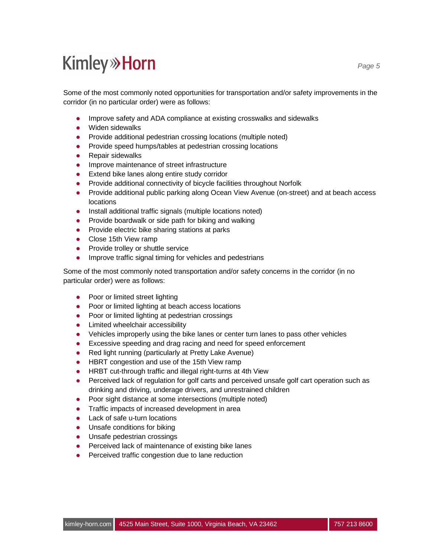Some of the most commonly noted opportunities for transportation and/or safety improvements in the corridor (in no particular order) were as follows:

- l Improve safety and ADA compliance at existing crosswalks and sidewalks
- Widen sidewalks
- Provide additional pedestrian crossing locations (multiple noted)
- Provide speed humps/tables at pedestrian crossing locations
- $\bullet$  Repair sidewalks
- **•** Improve maintenance of street infrastructure
- Extend bike lanes along entire study corridor
- Provide additional connectivity of bicycle facilities throughout Norfolk
- Provide additional public parking along Ocean View Avenue (on-street) and at beach access locations
- Install additional traffic signals (multiple locations noted)
- Provide boardwalk or side path for biking and walking
- Provide electric bike sharing stations at parks
- Close 15th View ramp
- Provide trolley or shuttle service
- **.** Improve traffic signal timing for vehicles and pedestrians

Some of the most commonly noted transportation and/or safety concerns in the corridor (in no particular order) were as follows:

- Poor or limited street lighting
- Poor or limited lighting at beach access locations
- Poor or limited lighting at pedestrian crossings
- Limited wheelchair accessibility
- l Vehicles improperly using the bike lanes or center turn lanes to pass other vehicles
- Excessive speeding and drag racing and need for speed enforcement
- Red light running (particularly at Pretty Lake Avenue)
- HBRT congestion and use of the 15th View ramp
- **.** HRBT cut-through traffic and illegal right-turns at 4th View
- Perceived lack of regulation for golf carts and perceived unsafe golf cart operation such as drinking and driving, underage drivers, and unrestrained children
- Poor sight distance at some intersections (multiple noted)
- Traffic impacts of increased development in area
- Lack of safe u-turn locations
- Unsafe conditions for biking
- Unsafe pedestrian crossings
- Perceived lack of maintenance of existing bike lanes
- **•** Perceived traffic congestion due to lane reduction

*Page 5*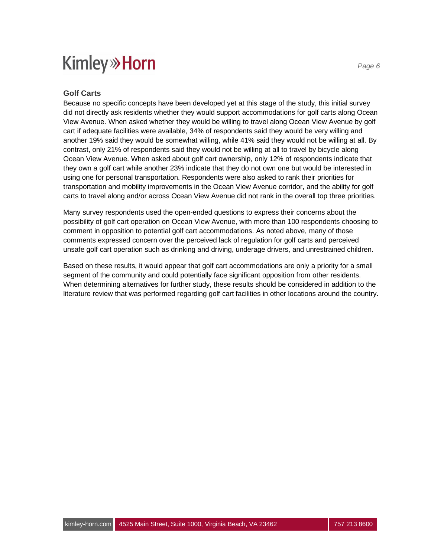#### **Golf Carts**

Because no specific concepts have been developed yet at this stage of the study, this initial survey did not directly ask residents whether they would support accommodations for golf carts along Ocean View Avenue. When asked whether they would be willing to travel along Ocean View Avenue by golf cart if adequate facilities were available, 34% of respondents said they would be very willing and another 19% said they would be somewhat willing, while 41% said they would not be willing at all. By contrast, only 21% of respondents said they would not be willing at all to travel by bicycle along Ocean View Avenue. When asked about golf cart ownership, only 12% of respondents indicate that they own a golf cart while another 23% indicate that they do not own one but would be interested in using one for personal transportation. Respondents were also asked to rank their priorities for transportation and mobility improvements in the Ocean View Avenue corridor, and the ability for golf carts to travel along and/or across Ocean View Avenue did not rank in the overall top three priorities.

Many survey respondents used the open-ended questions to express their concerns about the possibility of golf cart operation on Ocean View Avenue, with more than 100 respondents choosing to comment in opposition to potential golf cart accommodations. As noted above, many of those comments expressed concern over the perceived lack of regulation for golf carts and perceived unsafe golf cart operation such as drinking and driving, underage drivers, and unrestrained children.

Based on these results, it would appear that golf cart accommodations are only a priority for a small segment of the community and could potentially face significant opposition from other residents. When determining alternatives for further study, these results should be considered in addition to the literature review that was performed regarding golf cart facilities in other locations around the country.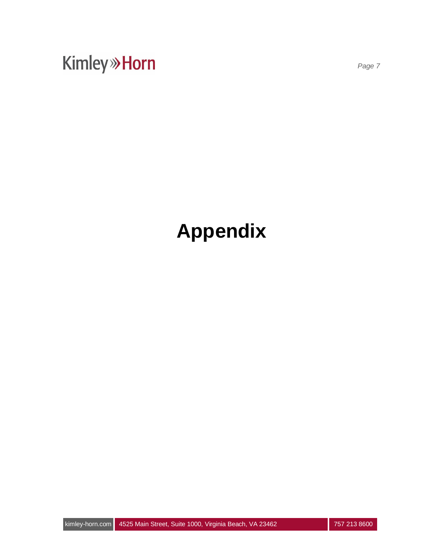*Page 7*

# **Appendix**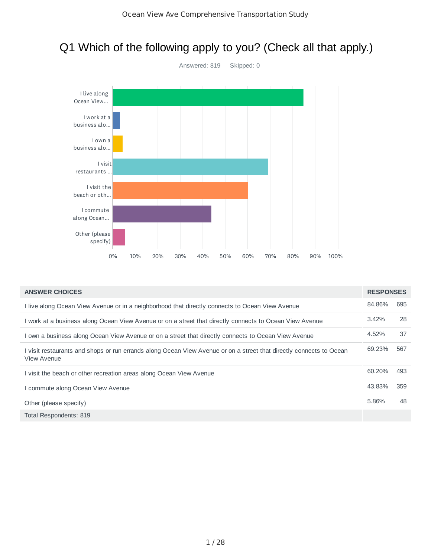

## Q1 Which of the following apply to you? (Check all that apply.)

| <b>ANSWER CHOICES</b>                                                                                                              | <b>RESPONSES</b> |     |
|------------------------------------------------------------------------------------------------------------------------------------|------------------|-----|
| I live along Ocean View Avenue or in a neighborhood that directly connects to Ocean View Avenue                                    | 84.86%           | 695 |
| I work at a business along Ocean View Avenue or on a street that directly connects to Ocean View Avenue                            | 3.42%            | 28  |
| I own a business along Ocean View Avenue or on a street that directly connects to Ocean View Avenue                                | 4.52%            | 37  |
| I visit restaurants and shops or run errands along Ocean View Avenue or on a street that directly connects to Ocean<br>View Avenue | 69.23%           | 567 |
| I visit the beach or other recreation areas along Ocean View Avenue                                                                | 60.20%           | 493 |
| I commute along Ocean View Avenue                                                                                                  | 43.83%           | 359 |
| Other (please specify)                                                                                                             | 5.86%            | 48  |
| Total Respondents: 819                                                                                                             |                  |     |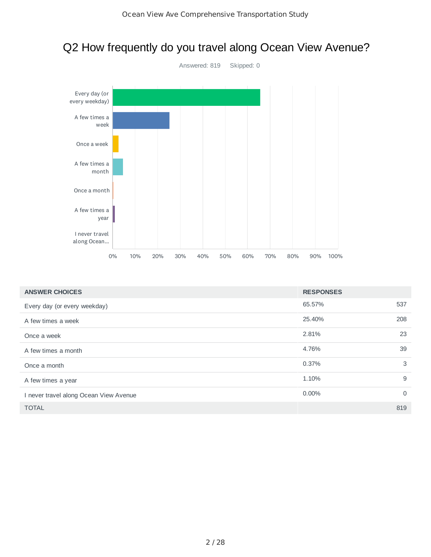

## Q2 How frequently do you travel along Ocean View Avenue?

| <b>ANSWER CHOICES</b>                  | <b>RESPONSES</b> |             |
|----------------------------------------|------------------|-------------|
| Every day (or every weekday)           | 65.57%           | 537         |
| A few times a week                     | 25.40%           | 208         |
| Once a week                            | 2.81%            | 23          |
| A few times a month                    | 4.76%            | 39          |
| Once a month                           | 0.37%            | 3           |
| A few times a year                     | 1.10%            | 9           |
| I never travel along Ocean View Avenue | $0.00\%$         | $\mathbf 0$ |
| <b>TOTAL</b>                           |                  | 819         |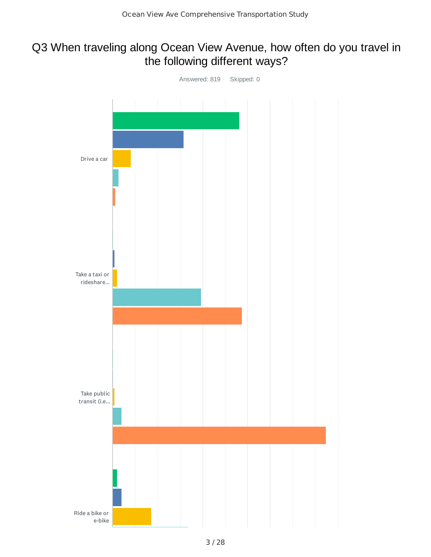## Q3 When traveling along Ocean View Avenue, how often do you travel in the following different ways?

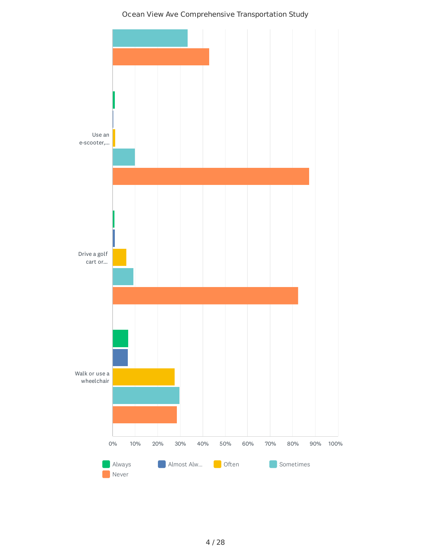#### Ocean View Ave Comprehensive Transportation Study

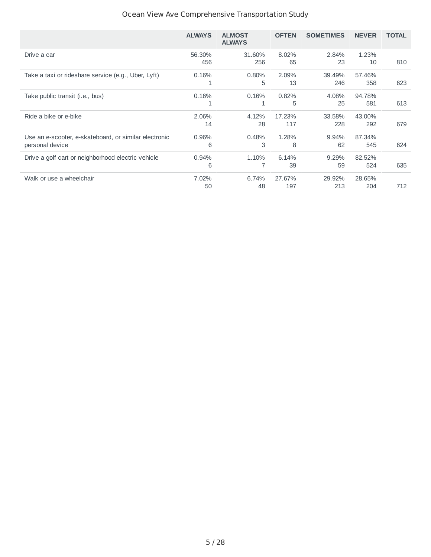### Ocean View Ave Comprehensive Transportation Study

|                                                                          | <b>ALWAYS</b> | <b>ALMOST</b><br><b>ALWAYS</b> | <b>OFTEN</b>  | <b>SOMETIMES</b> | <b>NEVER</b>  | <b>TOTAL</b> |
|--------------------------------------------------------------------------|---------------|--------------------------------|---------------|------------------|---------------|--------------|
| Drive a car                                                              | 56.30%<br>456 | 31.60%<br>256                  | 8.02%<br>65   | 2.84%<br>23      | 1.23%<br>10   | 810          |
| Take a taxi or rideshare service (e.g., Uber, Lyft)                      | 0.16%<br>1    | 0.80%<br>5                     | 2.09%<br>13   | 39.49%<br>246    | 57.46%<br>358 | 623          |
| Take public transit ( <i>i.e.</i> , bus)                                 | 0.16%         | 0.16%                          | 0.82%<br>5    | 4.08%<br>25      | 94.78%<br>581 | 613          |
| Ride a bike or e-bike                                                    | 2.06%<br>14   | 4.12%<br>28                    | 17.23%<br>117 | 33.58%<br>228    | 43.00%<br>292 | 679          |
| Use an e-scooter, e-skateboard, or similar electronic<br>personal device | 0.96%<br>6    | 0.48%<br>3                     | 1.28%<br>8    | $9.94\%$<br>62   | 87.34%<br>545 | 624          |
| Drive a golf cart or neighborhood electric vehicle                       | 0.94%<br>6    | 1.10%                          | 6.14%<br>39   | 9.29%<br>59      | 82.52%<br>524 | 635          |
| Walk or use a wheelchair                                                 | 7.02%<br>50   | 6.74%<br>48                    | 27.67%<br>197 | 29.92%<br>213    | 28.65%<br>204 | 712          |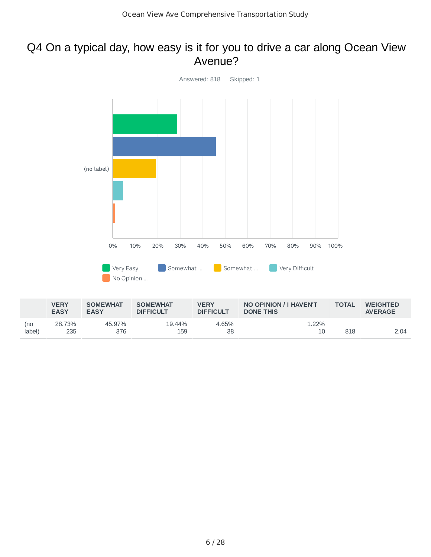### Q4 On a typical day, how easy is it for you to drive a car along Ocean View Avenue?



|               | <b>VERY</b><br><b>EASY</b> | <b>SOMEWHAT</b><br><b>EASY</b> | <b>SOMEWHAT</b><br><b>DIFFICULT</b> | <b>VERY</b><br><b>DIFFICULT</b> | NO OPINION / I HAVEN'T<br><b>DONE THIS</b> | <b>TOTAL</b> | <b>WEIGHTED</b><br><b>AVERAGE</b> |
|---------------|----------------------------|--------------------------------|-------------------------------------|---------------------------------|--------------------------------------------|--------------|-----------------------------------|
| (no<br>(abel) | 28.73%<br>235              | 45.97%<br>376                  | 19.44%<br>159                       | 4.65%<br>38                     | 1.22%<br>10                                | 818          | 2.04                              |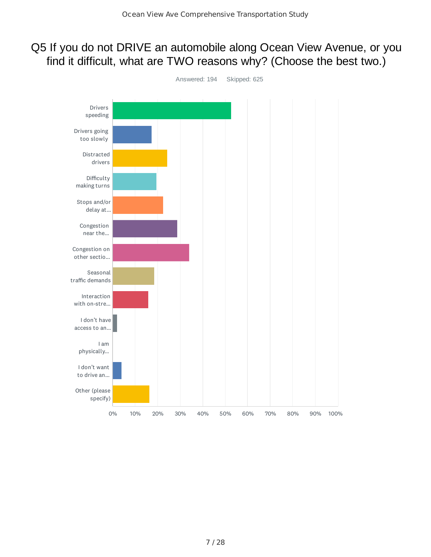## Q5 If you do not DRIVE an automobile along Ocean View Avenue, or you find it difficult, what are TWO reasons why? (Choose the best two.)

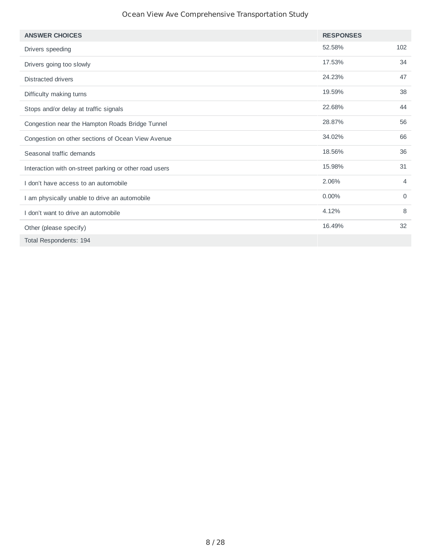#### Ocean View Ave Comprehensive Transportation Study

| <b>ANSWER CHOICES</b>                                  | <b>RESPONSES</b> |             |
|--------------------------------------------------------|------------------|-------------|
| Drivers speeding                                       | 52.58%           | 102         |
| Drivers going too slowly                               | 17.53%           | 34          |
| <b>Distracted drivers</b>                              | 24.23%           | 47          |
| Difficulty making turns                                | 19.59%           | 38          |
| Stops and/or delay at traffic signals                  | 22.68%           | 44          |
| Congestion near the Hampton Roads Bridge Tunnel        | 28.87%           | 56          |
| Congestion on other sections of Ocean View Avenue      | 34.02%           | 66          |
| Seasonal traffic demands                               | 18.56%           | 36          |
| Interaction with on-street parking or other road users | 15.98%           | 31          |
| don't have access to an automobile                     | 2.06%            | 4           |
| I am physically unable to drive an automobile          | 0.00%            | $\mathbf 0$ |
| I don't want to drive an automobile                    | 4.12%            | 8           |
| Other (please specify)                                 | 16.49%           | 32          |
| Total Respondents: 194                                 |                  |             |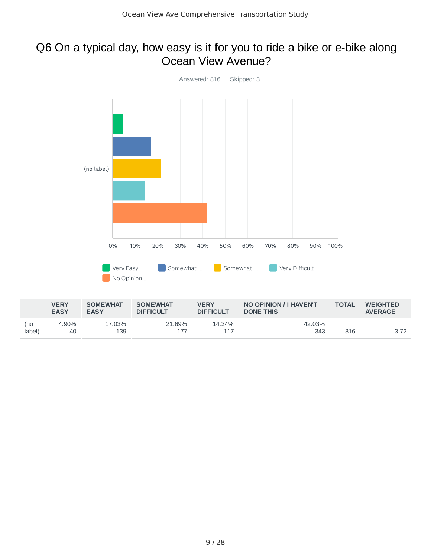## Q6 On a typical day, how easy is it for you to ride a bike or e-bike along Ocean View Avenue?



|               | <b>VERY</b><br><b>EASY</b> | <b>SOMEWHAT</b><br><b>EASY</b> | <b>SOMEWHAT</b><br><b>DIFFICULT</b> | <b>VERY</b><br><b>DIFFICULT</b> | NO OPINION / I HAVEN'T<br><b>DONE THIS</b> | <b>TOTAL</b> | <b>WEIGHTED</b><br><b>AVERAGE</b> |
|---------------|----------------------------|--------------------------------|-------------------------------------|---------------------------------|--------------------------------------------|--------------|-----------------------------------|
| (no<br>label) | 4.90%<br>40                | 17.03%<br>139                  | 21.69%<br>177                       | 14.34%                          | 42.03%<br>343                              | 816          | 3.72                              |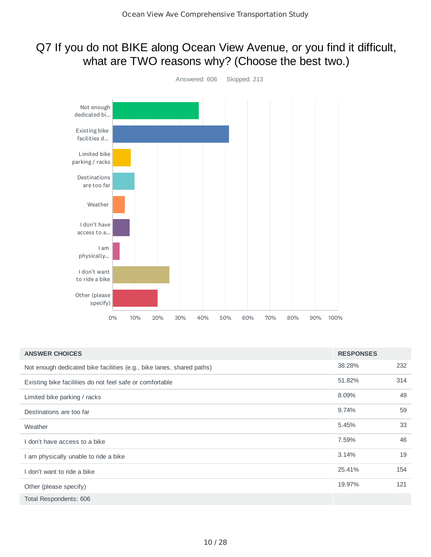## Q7 If you do not BIKE along Ocean View Avenue, or you find it difficult, what are TWO reasons why? (Choose the best two.)



| <b>ANSWER CHOICES</b>                                                 | <b>RESPONSES</b> |     |
|-----------------------------------------------------------------------|------------------|-----|
| Not enough dedicated bike facilities (e.g., bike lanes, shared paths) | 38.28%           | 232 |
| Existing bike facilities do not feel safe or comfortable              | 51.82%           | 314 |
| Limited bike parking / racks                                          | 8.09%            | 49  |
| Destinations are too far                                              | 9.74%            | 59  |
| Weather                                                               | 5.45%            | 33  |
| don't have access to a bike                                           | 7.59%            | 46  |
| I am physically unable to ride a bike                                 | 3.14%            | 19  |
| don't want to ride a bike                                             | 25.41%           | 154 |
| Other (please specify)                                                | 19.97%           | 121 |
| Total Respondents: 606                                                |                  |     |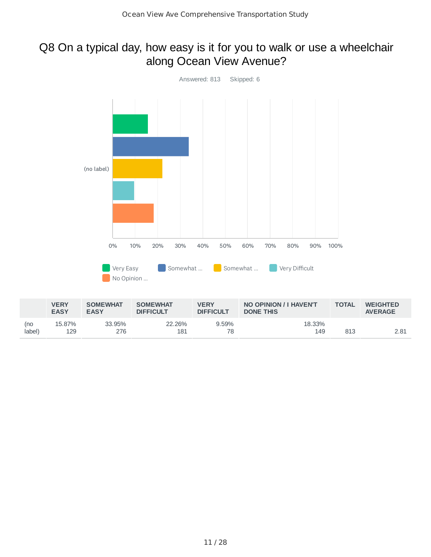## Q8 On a typical day, how easy is it for you to walk or use a wheelchair along Ocean View Avenue?



|               | <b>VERY</b><br><b>EASY</b> | <b>SOMEWHAT</b><br><b>EASY</b> | <b>SOMEWHAT</b><br><b>DIFFICULT</b> | <b>VERY</b><br><b>DIFFICULT</b> | NO OPINION / I HAVEN'T<br><b>DONE THIS</b> | <b>TOTAL</b> | <b>WEIGHTED</b><br><b>AVERAGE</b> |
|---------------|----------------------------|--------------------------------|-------------------------------------|---------------------------------|--------------------------------------------|--------------|-----------------------------------|
| (no<br>label) | 15.87%<br>129              | 33.95%<br>276                  | 22.26%<br>181                       | 9.59%<br>78                     | 18.33%<br>149                              | 813          | 2.81                              |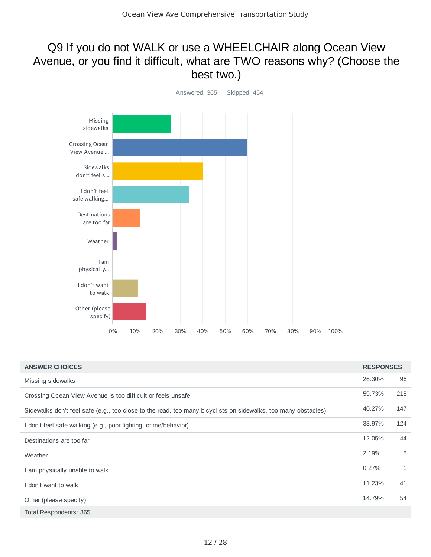## Q9 If you do not WALK or use a WHEELCHAIR along Ocean View Avenue, or you find it difficult, what are TWO reasons why? (Choose the best two.)



| <b>ANSWER CHOICES</b>                                                                                         | <b>RESPONSES</b> |     |
|---------------------------------------------------------------------------------------------------------------|------------------|-----|
| Missing sidewalks                                                                                             | 26.30%           | 96  |
| Crossing Ocean View Avenue is too difficult or feels unsafe                                                   | 59.73%           | 218 |
| Sidewalks don't feel safe (e.g., too close to the road, too many bicyclists on sidewalks, too many obstacles) | 40.27%           | 147 |
| I don't feel safe walking (e.g., poor lighting, crime/behavior)                                               | 33.97%           | 124 |
| Destinations are too far                                                                                      | 12.05%           | 44  |
| Weather                                                                                                       | 2.19%            | 8   |
| I am physically unable to walk                                                                                | 0.27%            | 1   |
| don't want to walk                                                                                            | 11.23%           | 41  |
| Other (please specify)                                                                                        | 14.79%           | 54  |
| Total Respondents: 365                                                                                        |                  |     |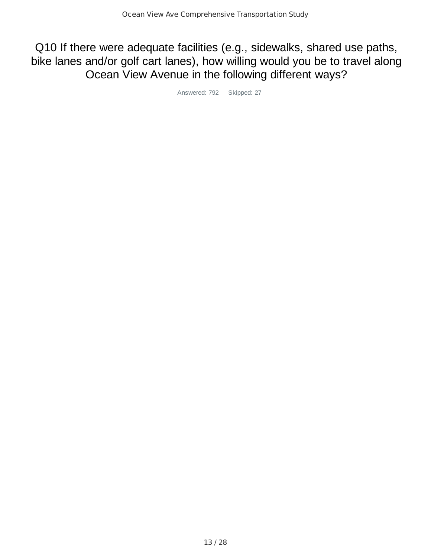Q10 If there were adequate facilities (e.g., sidewalks, shared use paths, bike lanes and/or golf cart lanes), how willing would you be to travel along Ocean View Avenue in the following different ways?

Answered: 792 Skipped: 27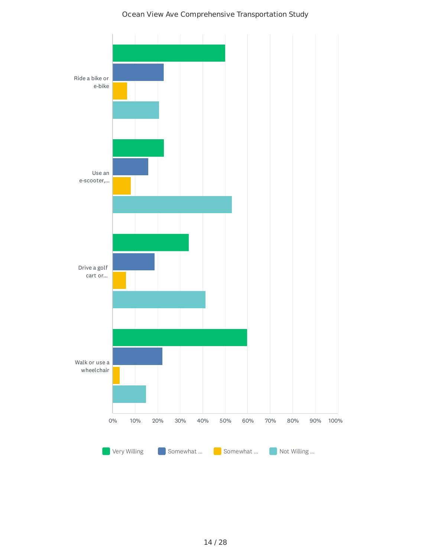

#### Ocean View Ave Comprehensive Transportation Study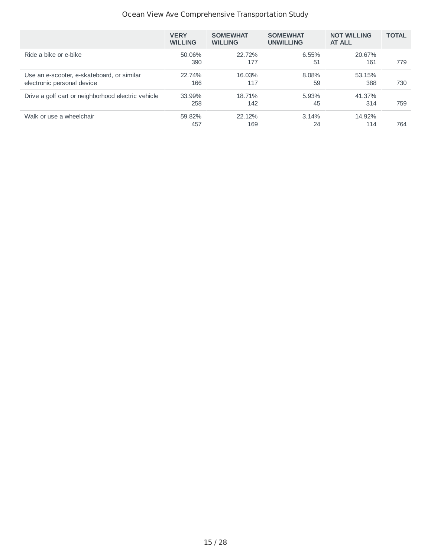#### Ocean View Ave Comprehensive Transportation Study

|                                                                          | <b>VERY</b><br><b>WILLING</b> | <b>SOMEWHAT</b><br><b>WILLING</b> | <b>SOMEWHAT</b><br><b>UNWILLING</b> | <b>NOT WILLING</b><br><b>AT ALL</b> | <b>TOTAL</b> |
|--------------------------------------------------------------------------|-------------------------------|-----------------------------------|-------------------------------------|-------------------------------------|--------------|
| Ride a bike or e-bike                                                    | 50.06%<br>390                 | 22.72%<br>177                     | 6.55%<br>51                         | 20.67%<br>161                       | 779          |
| Use an e-scooter, e-skateboard, or similar<br>electronic personal device | 22.74%<br>166                 | 16.03%<br>117                     | 8.08%<br>59                         | 53.15%<br>388                       | 730          |
| Drive a golf cart or neighborhood electric vehicle                       | 33.99%<br>258                 | 18.71%<br>142                     | 5.93%<br>45                         | 41.37%<br>314                       | 759          |
| Walk or use a wheelchair                                                 | 59.82%<br>457                 | 22.12%<br>169                     | 3.14%<br>24                         | 14.92%<br>114                       | 764          |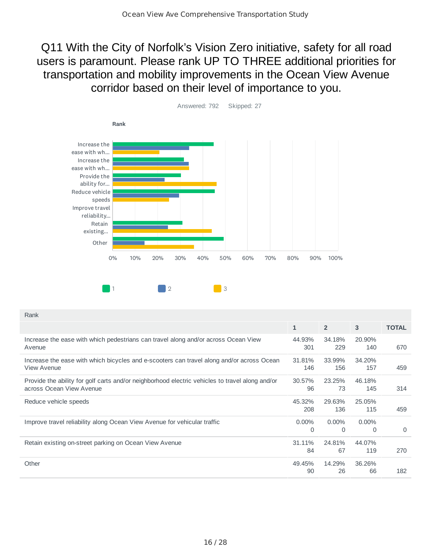## Q11 With the City of Norfolk's Vision Zero initiative, safety for all road users is paramount. Please rank UP TO THREE additional priorities for transportation and mobility improvements in the Ocean View Avenue corridor based on their level of importance to you.



Answered: 792 Skipped: 27

| Rank                                                                                                                        |                      |                      |               |              |
|-----------------------------------------------------------------------------------------------------------------------------|----------------------|----------------------|---------------|--------------|
|                                                                                                                             | $\mathbf{1}$         | $\overline{2}$       | 3             | <b>TOTAL</b> |
| Increase the ease with which pedestrians can travel along and/or across Ocean View<br>Avenue                                | 44.93%<br>301        | 34.18%<br>229        | 20.90%<br>140 | 670          |
| Increase the ease with which bicycles and e-scooters can travel along and/or across Ocean<br>View Avenue                    | 31.81%<br>146        | 33.99%<br>156        | 34.20%<br>157 | 459          |
| Provide the ability for golf carts and/or neighborhood electric vehicles to travel along and/or<br>across Ocean View Avenue | 30.57%<br>96         | 23.25%<br>73         | 46.18%<br>145 | 314          |
| Reduce vehicle speeds                                                                                                       | 45.32%<br>208        | 29.63%<br>136        | 25.05%<br>115 | 459          |
| Improve travel reliability along Ocean View Avenue for vehicular traffic                                                    | $0.00\%$<br>$\Omega$ | $0.00\%$<br>$\Omega$ | $0.00\%$<br>0 | $\Omega$     |
| Retain existing on-street parking on Ocean View Avenue                                                                      | 31.11%<br>84         | 24.81%<br>67         | 44.07%<br>119 | 270          |
| Other                                                                                                                       | 49.45%<br>90         | 14.29%<br>26         | 36.26%<br>66  | 182          |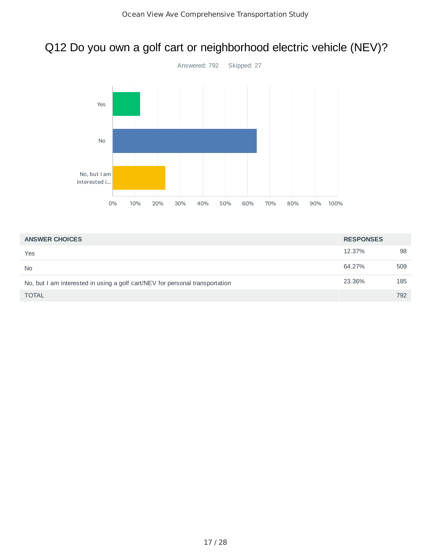# Q12 Do you own a golf cart or neighborhood electric vehicle (NEV)?



| <b>ANSWER CHOICES</b>                                                        | <b>RESPONSES</b> |     |
|------------------------------------------------------------------------------|------------------|-----|
| Yes                                                                          | 12.37%           | 98  |
| <b>No</b>                                                                    | 64.27%           | 509 |
| No, but I am interested in using a golf cart/NEV for personal transportation | 23.36%           | 185 |
| <b>TOTAL</b>                                                                 |                  | 792 |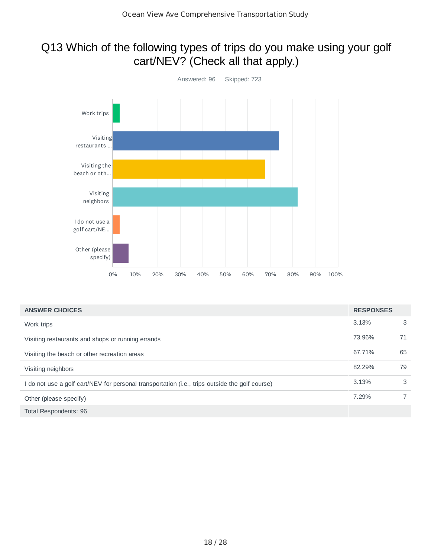## Q13 Which of the following types of trips do you make using your golf cart/NEV? (Check all that apply.)



| <b>ANSWER CHOICES</b>                                                                          | <b>RESPONSES</b> |    |
|------------------------------------------------------------------------------------------------|------------------|----|
| Work trips                                                                                     | 3.13%            | 3  |
| Visiting restaurants and shops or running errands                                              | 73.96%           | 71 |
| Visiting the beach or other recreation areas                                                   | 67.71%           | 65 |
| Visiting neighbors                                                                             | 82.29%           | 79 |
| I do not use a golf cart/NEV for personal transportation (i.e., trips outside the golf course) | 3.13%            | 3  |
| Other (please specify)                                                                         | 7.29%            |    |
| Total Respondents: 96                                                                          |                  |    |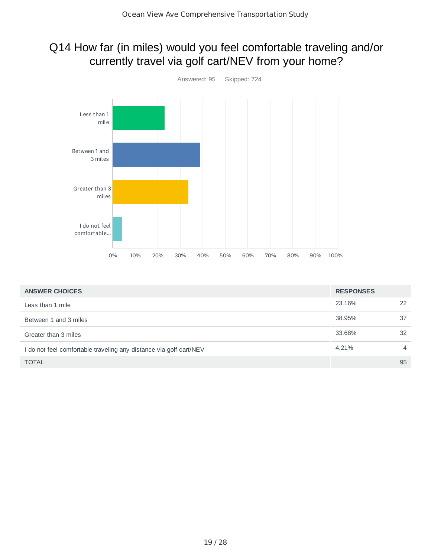# Q14 How far (in miles) would you feel comfortable traveling and/or currently travel via golf cart/NEV from your home?



| <b>ANSWER CHOICES</b>                                              | <b>RESPONSES</b> |                |
|--------------------------------------------------------------------|------------------|----------------|
| Less than 1 mile                                                   | 23.16%           | 22             |
| Between 1 and 3 miles                                              | 38.95%           | 37             |
| Greater than 3 miles                                               | 33.68%           | 32             |
| I do not feel comfortable traveling any distance via golf cart/NEV | 4.21%            | $\overline{4}$ |
| <b>TOTAL</b>                                                       |                  | 95             |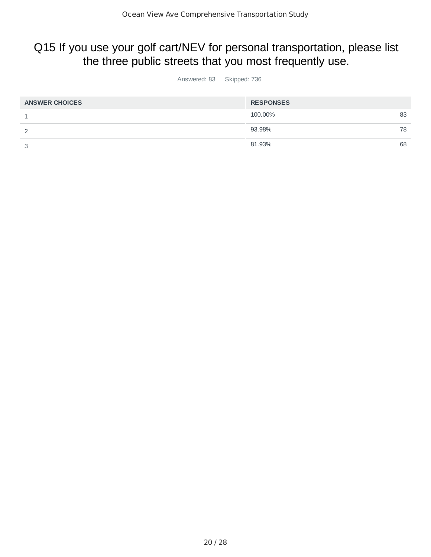## Q15 If you use your golf cart/NEV for personal transportation, please list the three public streets that you most frequently use.

Answered: 83 Skipped: 736

| <b>ANSWER CHOICES</b> | <b>RESPONSES</b> |    |
|-----------------------|------------------|----|
| <b>.</b>              | 100.00%          | 83 |
| っ                     | 93.98%           | 78 |
| 3                     | 81.93%           | 68 |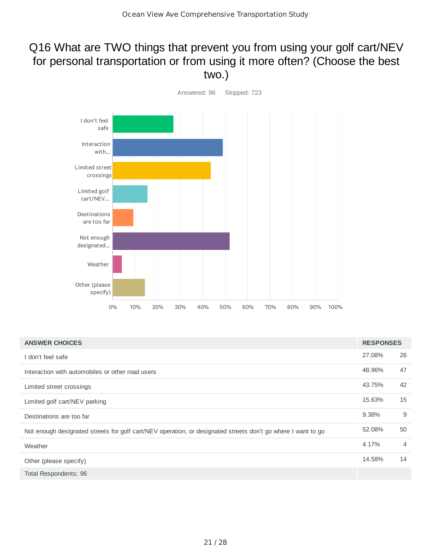## Q16 What are TWO things that prevent you from using your golf cart/NEV for personal transportation or from using it more often? (Choose the best two.)



| <b>ANSWER CHOICES</b>                                                                                        | <b>RESPONSES</b> |                |
|--------------------------------------------------------------------------------------------------------------|------------------|----------------|
| I don't feel safe                                                                                            | 27.08%           | 26             |
| Interaction with automobiles or other road users                                                             | 48.96%           | 47             |
| Limited street crossings                                                                                     | 43.75%           | 42             |
| Limited golf cart/NEV parking                                                                                | 15.63%           | 15             |
| Destinations are too far                                                                                     | 9.38%            | 9              |
| Not enough designated streets for golf cart/NEV operation, or designated streets don't go where I want to go | 52.08%           | 50             |
| Weather                                                                                                      | 4.17%            | $\overline{4}$ |
| Other (please specify)                                                                                       | 14.58%           | 14             |
| Total Respondents: 96                                                                                        |                  |                |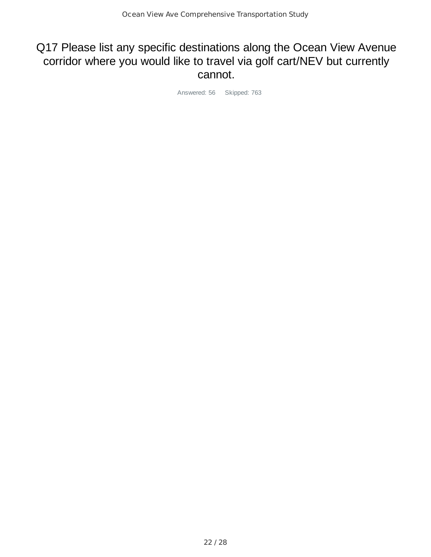## Q17 Please list any specific destinations along the Ocean View Avenue corridor where you would like to travel via golf cart/NEV but currently cannot.

Answered: 56 Skipped: 763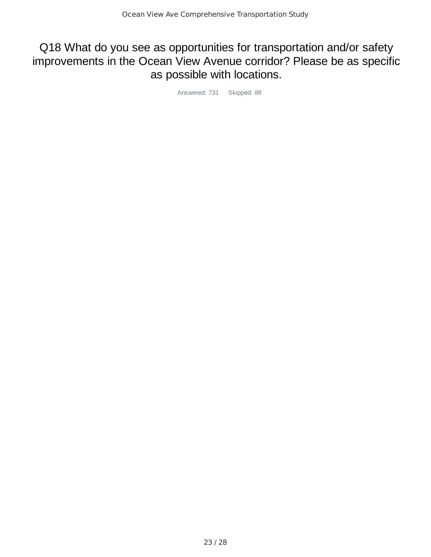## Q18 What do you see as opportunities for transportation and/or safety improvements in the Ocean View Avenue corridor? Please be as specific as possible with locations.

Answered: 731 Skipped: 88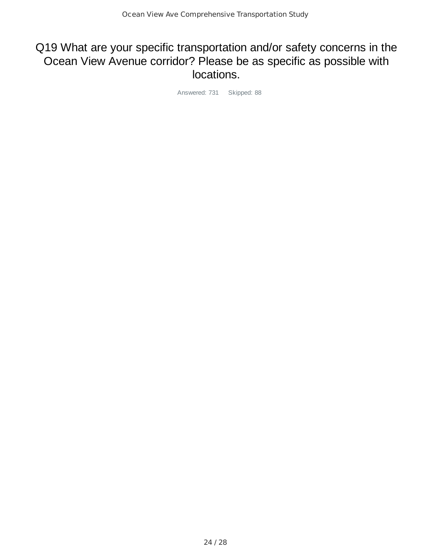## Q19 What are your specific transportation and/or safety concerns in the Ocean View Avenue corridor? Please be as specific as possible with locations.

Answered: 731 Skipped: 88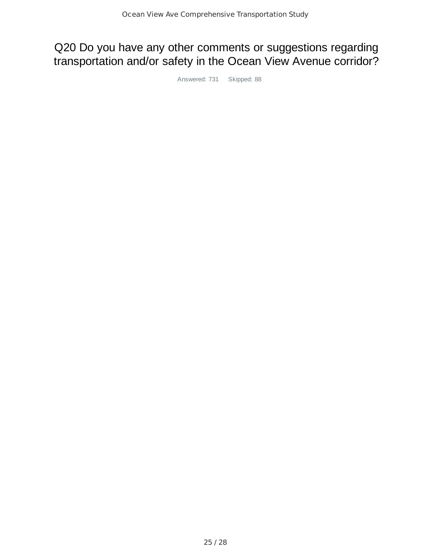# Q20 Do you have any other comments or suggestions regarding transportation and/or safety in the Ocean View Avenue corridor?

Answered: 731 Skipped: 88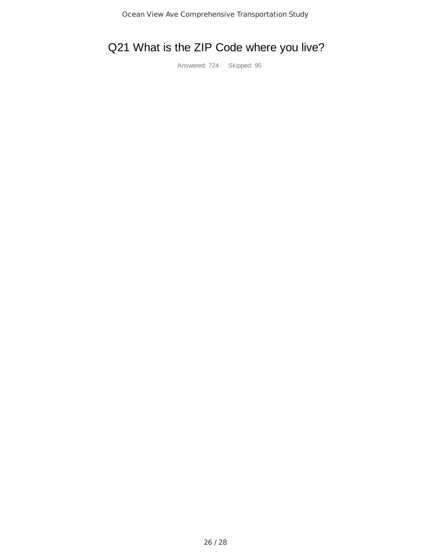# Q21 What is the ZIP Code where you live?

Answered: 724 Skipped: 95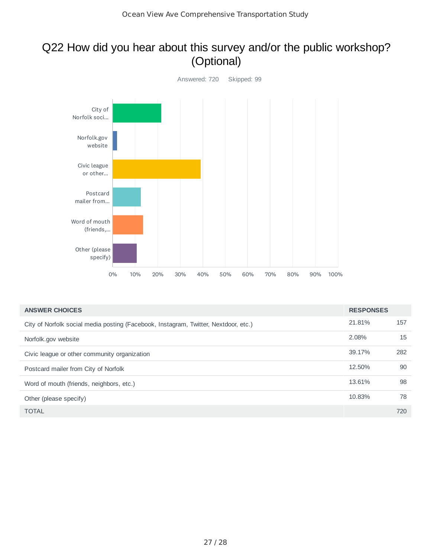## Q22 How did you hear about this survey and/or the public workshop? (Optional)



| <b>ANSWER CHOICES</b>                                                               | <b>RESPONSES</b> |     |
|-------------------------------------------------------------------------------------|------------------|-----|
| City of Norfolk social media posting (Facebook, Instagram, Twitter, Nextdoor, etc.) | 21.81%           | 157 |
| Norfolk.gov website                                                                 | 2.08%            | 15  |
| Civic league or other community organization                                        | 39.17%           | 282 |
| Postcard mailer from City of Norfolk                                                | 12.50%           | 90  |
| Word of mouth (friends, neighbors, etc.)                                            | 13.61%           | 98  |
| Other (please specify)                                                              | 10.83%           | 78  |
| <b>TOTAL</b>                                                                        |                  | 720 |